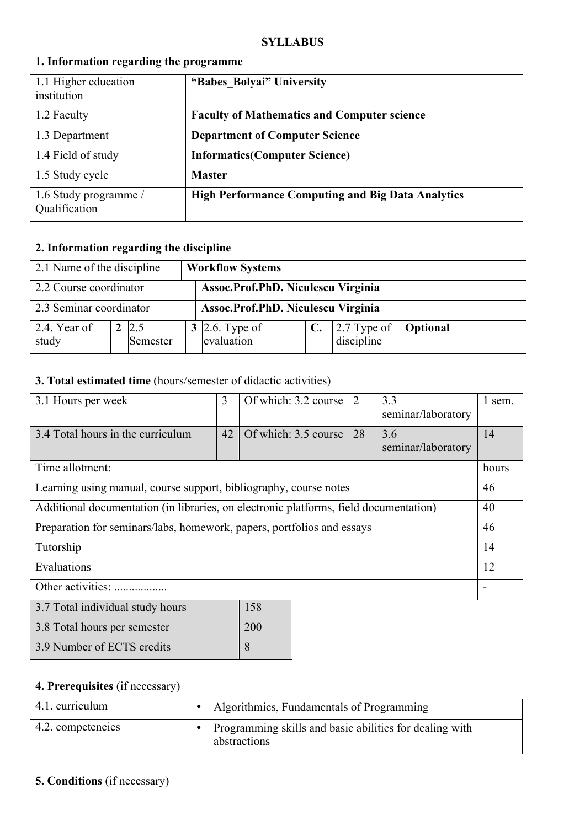#### **SYLLABUS**

| 1.1 Higher education<br>institution    | "Babes Bolyai" University                                |
|----------------------------------------|----------------------------------------------------------|
| 1.2 Faculty                            | <b>Faculty of Mathematics and Computer science</b>       |
| 1.3 Department                         | <b>Department of Computer Science</b>                    |
| 1.4 Field of study                     | <b>Informatics(Computer Science)</b>                     |
| 1.5 Study cycle                        | <b>Master</b>                                            |
| 1.6 Study programme /<br>Qualification | <b>High Performance Computing and Big Data Analytics</b> |

### **1. Information regarding the programme**

### **2. Information regarding the discipline**

| 2.1 Name of the discipline |  |                          | <b>Workflow Systems</b>            |  |                                               |          |
|----------------------------|--|--------------------------|------------------------------------|--|-----------------------------------------------|----------|
| 2.2 Course coordinator     |  |                          | Assoc.Prof.PhD. Niculescu Virginia |  |                                               |          |
| 2.3 Seminar coordinator    |  |                          | Assoc.Prof.PhD. Niculescu Virginia |  |                                               |          |
| 2.4. Year of<br>study      |  | $2 \,   2.5$<br>Semester | 3 2.6. Type of<br>evaluation       |  | C. $\left  2.7 \right $ Type of<br>discipline | Optional |

### **3. Total estimated time** (hours/semester of didactic activities)

| 3.1 Hours per week                                                                    | 3  | Of which: 3.2 course   | $\overline{2}$ | 3.3<br>seminar/laboratory | 1 sem. |
|---------------------------------------------------------------------------------------|----|------------------------|----------------|---------------------------|--------|
| 3.4 Total hours in the curriculum                                                     | 42 | Of which: $3.5$ course | 28             | 3.6<br>seminar/laboratory | 14     |
| Time allotment:                                                                       |    |                        |                |                           |        |
| Learning using manual, course support, bibliography, course notes                     |    |                        |                |                           | 46     |
| Additional documentation (in libraries, on electronic platforms, field documentation) |    |                        |                |                           | 40     |
| Preparation for seminars/labs, homework, papers, portfolios and essays                |    |                        |                |                           | 46     |
| Tutorship                                                                             |    |                        |                |                           |        |
| Evaluations                                                                           |    |                        |                |                           | 12     |
| Other activities:                                                                     |    |                        |                |                           |        |
| 3.7 Total individual study hours                                                      |    | 158                    |                |                           |        |
| 3.8 Total hours per semester                                                          |    | 200                    |                |                           |        |

### **4. Prerequisites** (if necessary)

3.9 Number of ECTS credits 8

| 4.1. curriculum   | • Algorithmics, Fundamentals of Programming                               |
|-------------------|---------------------------------------------------------------------------|
| 4.2. competencies | • Programming skills and basic abilities for dealing with<br>abstractions |

### **5. Conditions** (if necessary)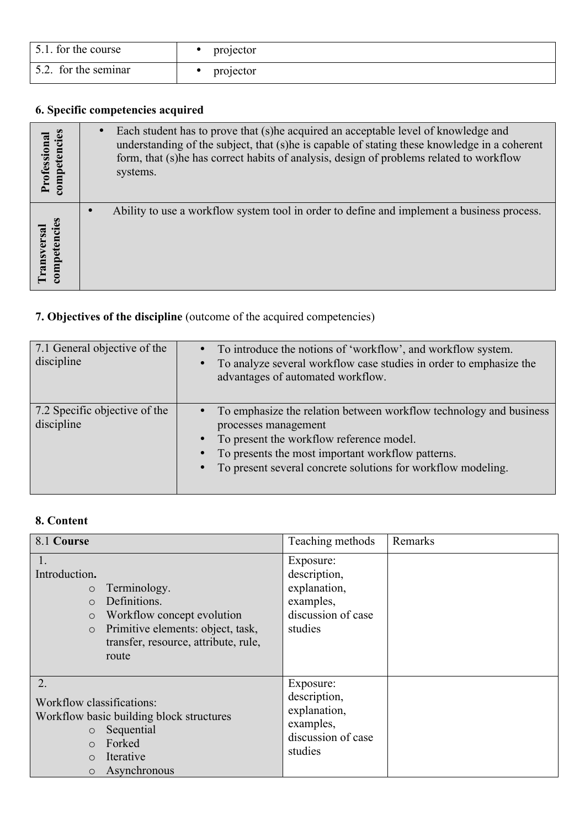| 5.1. for the course  | projector |
|----------------------|-----------|
| 5.2. for the seminar | projector |

# **6. Specific competencies acquired**

| Professional<br>competencies | Each student has to prove that (s) he acquired an acceptable level of knowledge and<br>understanding of the subject, that (s) he is capable of stating these knowledge in a coherent<br>form, that (s) he has correct habits of analysis, design of problems related to workflow<br>systems. |
|------------------------------|----------------------------------------------------------------------------------------------------------------------------------------------------------------------------------------------------------------------------------------------------------------------------------------------|
| competencies                 | Ability to use a workflow system tool in order to define and implement a business process.                                                                                                                                                                                                   |
| ransversal                   | $\bullet$                                                                                                                                                                                                                                                                                    |

## **7. Objectives of the discipline** (outcome of the acquired competencies)

| 7.1 General objective of the<br>discipline  | To introduce the notions of 'workflow', and workflow system.<br>$\bullet$<br>To analyze several workflow case studies in order to emphasize the<br>$\bullet$<br>advantages of automated workflow.                                                                                                               |
|---------------------------------------------|-----------------------------------------------------------------------------------------------------------------------------------------------------------------------------------------------------------------------------------------------------------------------------------------------------------------|
| 7.2 Specific objective of the<br>discipline | To emphasize the relation between workflow technology and business<br>$\bullet$<br>processes management<br>To present the workflow reference model.<br>$\bullet$<br>To presents the most important workflow patterns.<br>$\bullet$<br>To present several concrete solutions for workflow modeling.<br>$\bullet$ |

## **8. Content**

| 8.1 Course                                                                  |                                                                                                                                                  | Teaching methods                                                                        | Remarks |
|-----------------------------------------------------------------------------|--------------------------------------------------------------------------------------------------------------------------------------------------|-----------------------------------------------------------------------------------------|---------|
| 1.<br>Introduction.<br>$\circ$<br>$\circ$<br>$\circ$<br>$\circ$             | Terminology.<br>Definitions.<br>Workflow concept evolution<br>Primitive elements: object, task,<br>transfer, resource, attribute, rule,<br>route | Exposure:<br>description,<br>explanation,<br>examples,<br>discussion of case<br>studies |         |
| 2.<br>Workflow classifications:<br>$\circ$<br>$\circ$<br>$\circ$<br>$\circ$ | Workflow basic building block structures<br>Sequential<br>Forked<br>Iterative<br>Asynchronous                                                    | Exposure:<br>description,<br>explanation,<br>examples,<br>discussion of case<br>studies |         |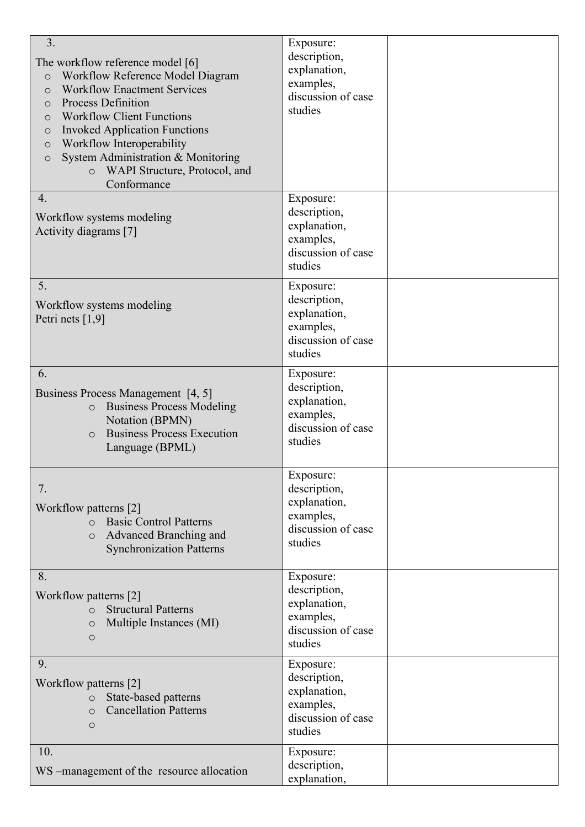| 3.<br>The workflow reference model [6]<br>Workflow Reference Model Diagram<br>$\circ$<br><b>Workflow Enactment Services</b><br>$\circ$<br><b>Process Definition</b><br>$\circ$<br><b>Workflow Client Functions</b><br>$\circ$<br><b>Invoked Application Functions</b><br>$\circ$<br>Workflow Interoperability<br>$\circ$<br>System Administration & Monitoring<br>$\circ$<br>WAPI Structure, Protocol, and<br>$\circ$<br>Conformance | Exposure:<br>description,<br>explanation,<br>examples,<br>discussion of case<br>studies |  |
|--------------------------------------------------------------------------------------------------------------------------------------------------------------------------------------------------------------------------------------------------------------------------------------------------------------------------------------------------------------------------------------------------------------------------------------|-----------------------------------------------------------------------------------------|--|
| 4.<br>Workflow systems modeling<br>Activity diagrams [7]                                                                                                                                                                                                                                                                                                                                                                             | Exposure:<br>description,<br>explanation,<br>examples,<br>discussion of case<br>studies |  |
| 5.<br>Workflow systems modeling<br>Petri nets $[1,9]$                                                                                                                                                                                                                                                                                                                                                                                | Exposure:<br>description,<br>explanation,<br>examples,<br>discussion of case<br>studies |  |
| 6.<br>Business Process Management [4, 5]<br><b>Business Process Modeling</b><br>$\circ$<br>Notation (BPMN)<br><b>Business Process Execution</b><br>$\Omega$<br>Language (BPML)                                                                                                                                                                                                                                                       | Exposure:<br>description,<br>explanation,<br>examples,<br>discussion of case<br>studies |  |
| 7.<br>Workflow patterns [2]<br><b>Basic Control Patterns</b><br>$\circ$<br>Advanced Branching and<br>$\circ$<br><b>Synchronization Patterns</b>                                                                                                                                                                                                                                                                                      | Exposure:<br>description,<br>explanation,<br>examples,<br>discussion of case<br>studies |  |
| 8.<br>Workflow patterns [2]<br><b>Structural Patterns</b><br>$\circ$<br>Multiple Instances (MI)<br>$\circ$<br>$\circ$                                                                                                                                                                                                                                                                                                                | Exposure:<br>description,<br>explanation,<br>examples,<br>discussion of case<br>studies |  |
| 9.<br>Workflow patterns [2]<br>State-based patterns<br>$\circ$<br><b>Cancellation Patterns</b><br>$\circ$<br>$\circ$                                                                                                                                                                                                                                                                                                                 | Exposure:<br>description,<br>explanation,<br>examples,<br>discussion of case<br>studies |  |
| 10.<br>WS -management of the resource allocation                                                                                                                                                                                                                                                                                                                                                                                     | Exposure:<br>description,<br>explanation,                                               |  |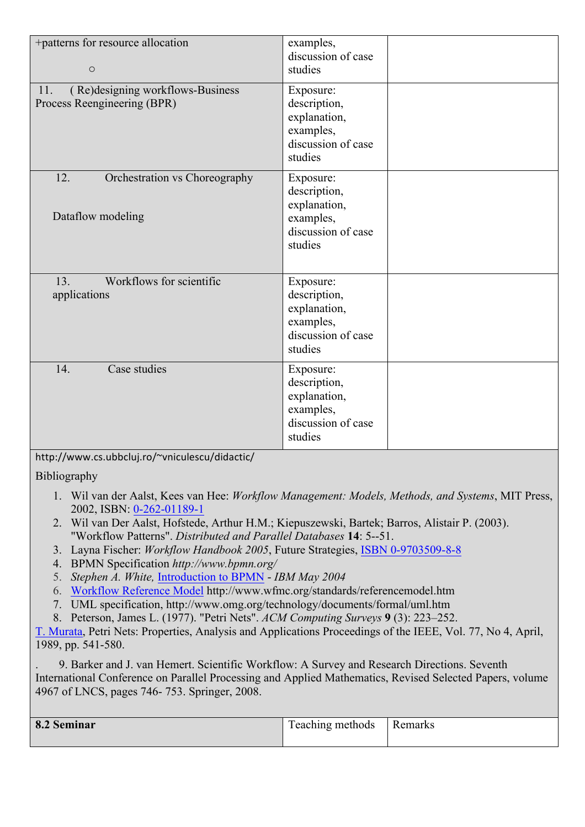| +patterns for resource allocation<br>$\circ$                           | examples,<br>discussion of case<br>studies                                              |  |
|------------------------------------------------------------------------|-----------------------------------------------------------------------------------------|--|
| (Re)designing workflows-Business<br>11.<br>Process Reengineering (BPR) | Exposure:<br>description,<br>explanation,<br>examples,<br>discussion of case<br>studies |  |
| 12.<br>Orchestration vs Choreography<br>Dataflow modeling              | Exposure:<br>description,<br>explanation,<br>examples,<br>discussion of case<br>studies |  |
| Workflows for scientific<br>13.<br>applications                        | Exposure:<br>description,<br>explanation,<br>examples,<br>discussion of case<br>studies |  |
| Case studies<br>14.                                                    | Exposure:<br>description,<br>explanation,<br>examples,<br>discussion of case<br>studies |  |

http://www.cs.ubbcluj.ro/~vniculescu/didactic/

Bibliography

- 1. Wil van der Aalst, Kees van Hee: *Workflow Management: Models, Methods, and Systems*, MIT Press, 2002, ISBN: 0-262-01189-1
- 2. Wil van Der Aalst, Hofstede, Arthur H.M.; Kiepuszewski, Bartek; Barros, Alistair P. (2003). "Workflow Patterns". *Distributed and Parallel Databases* **14**: 5--51.
- 3. Layna Fischer: *Workflow Handbook 2005*, Future Strategies, ISBN 0-9703509-8-8
- 4. BPMN Specification *http://www.bpmn.org/*
- 5. *Stephen A. White,* Introduction to BPMN *IBM May 2004*
- 6. Workflow Reference Model http://www.wfmc.org/standards/referencemodel.htm
- 7. UML specification, http://www.omg.org/technology/documents/formal/uml.htm
- 8. Peterson, James L. (1977). "Petri Nets". *ACM Computing Surveys* **9** (3): 223–252.

T. Murata, Petri Nets: Properties, Analysis and Applications Proceedings of the IEEE, Vol. 77, No 4, April, 1989, pp. 541-580.

. 9. Barker and J. van Hemert. Scientific Workflow: A Survey and Research Directions. Seventh International Conference on Parallel Processing and Applied Mathematics, Revised Selected Papers, volume 4967 of LNCS, pages 746- 753. Springer, 2008.

| 8.2 Seminar | Teaching methods | Remarks |
|-------------|------------------|---------|
|             |                  |         |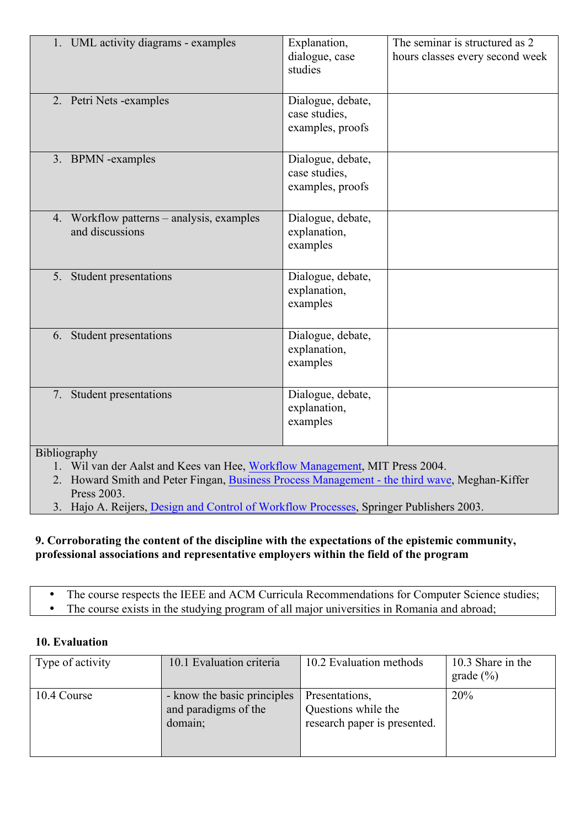|              | 1. UML activity diagrams - examples                          | Explanation,<br>dialogue, case<br>studies              | The seminar is structured as 2<br>hours classes every second week |
|--------------|--------------------------------------------------------------|--------------------------------------------------------|-------------------------------------------------------------------|
|              | 2. Petri Nets -examples                                      | Dialogue, debate,<br>case studies,<br>examples, proofs |                                                                   |
|              | 3. BPMN -examples                                            | Dialogue, debate,<br>case studies,<br>examples, proofs |                                                                   |
|              | 4. Workflow patterns – analysis, examples<br>and discussions | Dialogue, debate,<br>explanation,<br>examples          |                                                                   |
|              | 5. Student presentations                                     | Dialogue, debate,<br>explanation,<br>examples          |                                                                   |
|              | 6. Student presentations                                     | Dialogue, debate,<br>explanation,<br>examples          |                                                                   |
|              | 7. Student presentations                                     | Dialogue, debate,<br>explanation,<br>examples          |                                                                   |
| Bibliography |                                                              |                                                        |                                                                   |

- 1. Wil van der Aalst and Kees van Hee, Workflow Management, MIT Press 2004.
- 2. Howard Smith and Peter Fingan, Business Process Management the third wave, Meghan-Kiffer Press 2003.
- 3. Hajo A. Reijers, Design and Control of Workflow Processes, Springer Publishers 2003.

### **9. Corroborating the content of the discipline with the expectations of the epistemic community, professional associations and representative employers within the field of the program**

- The course respects the IEEE and ACM Curricula Recommendations for Computer Science studies;
- The course exists in the studying program of all major universities in Romania and abroad;

## **10. Evaluation**

| Type of activity | 10.1 Evaluation criteria                                       | 10.2 Evaluation methods                                               | 10.3 Share in the<br>grade $(\% )$ |
|------------------|----------------------------------------------------------------|-----------------------------------------------------------------------|------------------------------------|
| 10.4 Course      | - know the basic principles<br>and paradigms of the<br>domain; | Presentations,<br>Questions while the<br>research paper is presented. | <b>20%</b>                         |